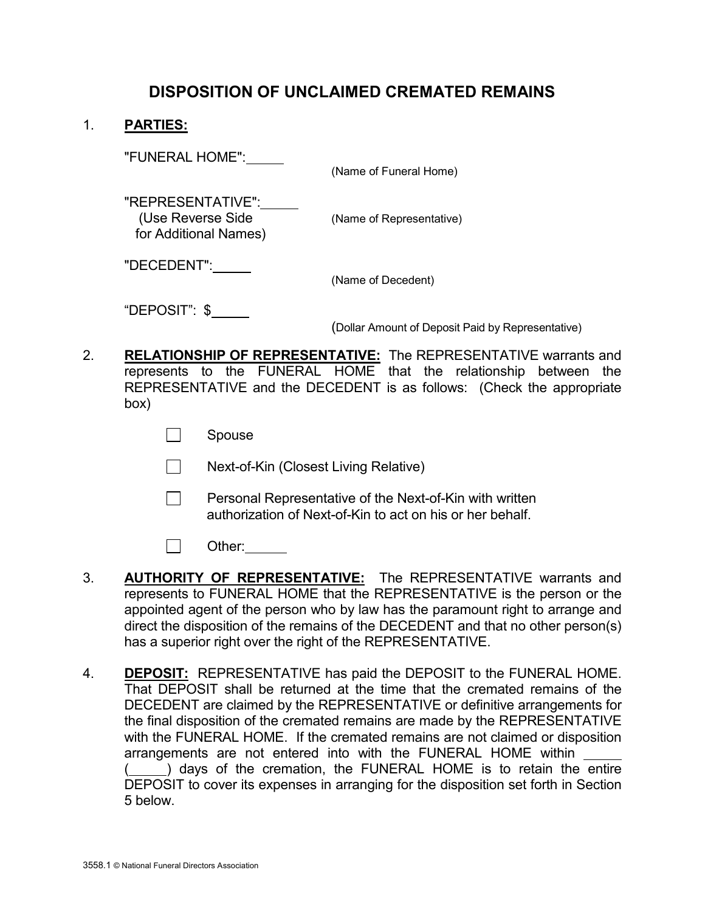# DISPOSITION OF UNCLAIMED CREMATED REMAINS

### 1. PARTIES:

"FUNERAL HOME":

(Name of Funeral Home)

 "REPRESENTATIVE": (Use Reverse Side (Name of Representative) for Additional Names)

"DECEDENT":

(Name of Decedent)

"DEPOSIT": \$

(Dollar Amount of Deposit Paid by Representative)

- 2. RELATIONSHIP OF REPRESENTATIVE: The REPRESENTATIVE warrants and represents to the FUNERAL HOME that the relationship between the REPRESENTATIVE and the DECEDENT is as follows: (Check the appropriate box)
	- **Spouse**
	- **Next-of-Kin (Closest Living Relative)**
	- $\Box$  Personal Representative of the Next-of-Kin with written authorization of Next-of-Kin to act on his or her behalf.
	- □ Other:
- 3. **AUTHORITY OF REPRESENTATIVE:** The REPRESENTATIVE warrants and represents to FUNERAL HOME that the REPRESENTATIVE is the person or the appointed agent of the person who by law has the paramount right to arrange and direct the disposition of the remains of the DECEDENT and that no other person(s) has a superior right over the right of the REPRESENTATIVE.
- 4. **DEPOSIT:** REPRESENTATIVE has paid the DEPOSIT to the FUNERAL HOME. That DEPOSIT shall be returned at the time that the cremated remains of the DECEDENT are claimed by the REPRESENTATIVE or definitive arrangements for the final disposition of the cremated remains are made by the REPRESENTATIVE with the FUNERAL HOME. If the cremated remains are not claimed or disposition arrangements are not entered into with the FUNERAL HOME within ( ) days of the cremation, the FUNERAL HOME is to retain the entire DEPOSIT to cover its expenses in arranging for the disposition set forth in Section 5 below.